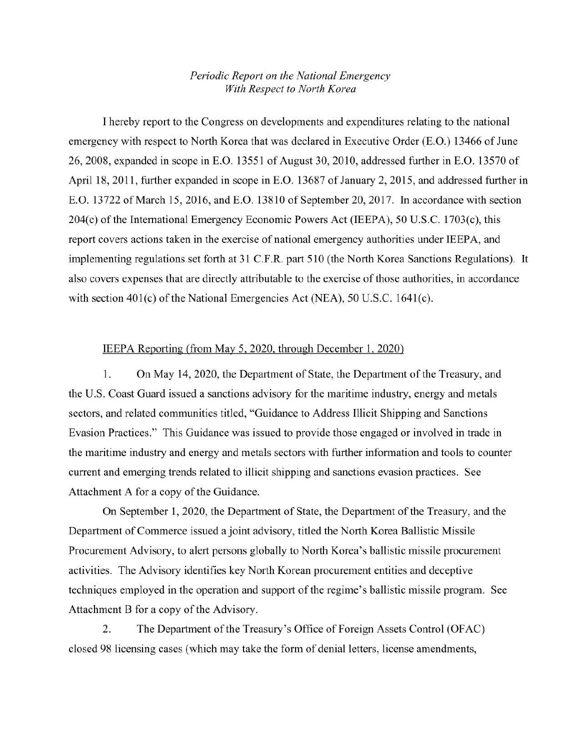## *Periodic Report on the National Emergency With Respect to North Korea*

I hereby report to the Congress on developments and expenditures relating to the national emergency with respect to North Korea that was declared in Executive Order (E.O.) 13466 of June 26, 2008, expanded in scope in E.O. 13551 of August 30, 2010, addressed further in E.O. 13570 of April 18, 2011, further expanded in scope in E.O. 13687 of January 2, 2015, and addressed further in E.O. 13722 of March 15, 2016, and E.O. 13810 of September 20, 2017. In accordance with section 204(c) of the International Emergency Economic Powers Act (IEEPA), 50 U.S.C. 1703(c), this report covers actions taken in the exercise of national emergency authorities under IEEP A, and implementing regulations set forth at 31 C.F.R. part 510 (the North Korea Sanctions Regulations). It also covers expenses that are directly attributable to the exercise of those authorities, in accordance with section  $401(c)$  of the National Emergencies Act (NEA), 50 U.S.C. 1641(c).

## IEEPA Reporting (from May 5, 2020, through December 1, 2020)

1. On May 14, 2020, the Department of State, the Department of the Treasury, and the U.S. Coast Guard issued a sanctions advisory for the maritime industry, energy and metals sectors, and related communities titled, "Guidance to Address Illicit Shipping and Sanctions Evasion Practices." This Guidance was issued to provide those engaged or involved in trade in the maritime industry and energy and metals sectors with further information and tools to counter current and emerging trends related to illicit shipping and sanctions evasion practices. See Attachment A for a copy of the Guidance.

On September 1, 2020, the Department of State, the Department of the Treasury, and the Department of Commerce issued a joint advisory, titled the North Korea Ballistic Missile Procurement Advisory, to alert persons globally to North Korea's ballistic missile procurement activities. The Advisory identifies key North Korean procurement entities and deceptive techniques employed in the operation and support of the regime's ballistic missile program. See Attachment B for a copy of the Advisory.

2. The Department of the Treasury's Office of Foreign Assets Control (OFAC) closed 98 licensing cases (which may take the form of denial letters, license amendments,